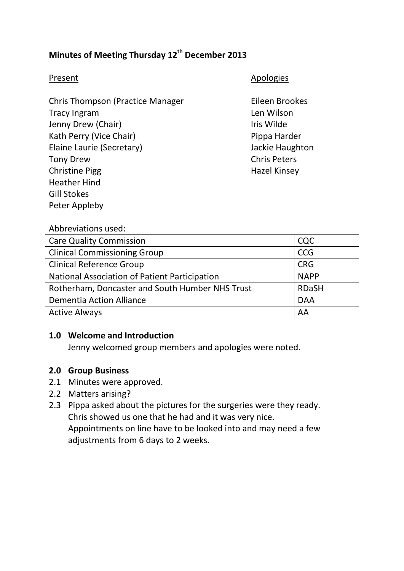# **Minutes of Meeting Thursday 12th December 2013**

Chris Thompson (Practice Manager Fileen Brookes Tracy Ingram Len Wilson Jenny Drew (Chair) **If the South American Chair** Iris Wilde Kath Perry (Vice Chair) **Pippa Harder** Pippa Harder Elaine Laurie (Secretary) Jackie Haughton Tony Drew Chris Peters Christine Pigg **Hazel Kinsey** Hazel Kinsey Heather Hind Gill Stokes Peter Appleby

Present Apologies

#### Abbreviations used:

| <b>Care Quality Commission</b>                       | CQC          |
|------------------------------------------------------|--------------|
| <b>Clinical Commissioning Group</b>                  | <b>CCG</b>   |
| <b>Clinical Reference Group</b>                      | <b>CRG</b>   |
| <b>National Association of Patient Participation</b> | <b>NAPP</b>  |
| Rotherham, Doncaster and South Humber NHS Trust      | <b>RDaSH</b> |
| <b>Dementia Action Alliance</b>                      | <b>DAA</b>   |
| <b>Active Always</b>                                 | AA           |

### **1.0 Welcome and Introduction**

Jenny welcomed group members and apologies were noted.

### **2.0 Group Business**

- 2.1 Minutes were approved.
- 2.2 Matters arising?
- 2.3 Pippa asked about the pictures for the surgeries were they ready. Chris showed us one that he had and it was very nice. Appointments on line have to be looked into and may need a few adjustments from 6 days to 2 weeks.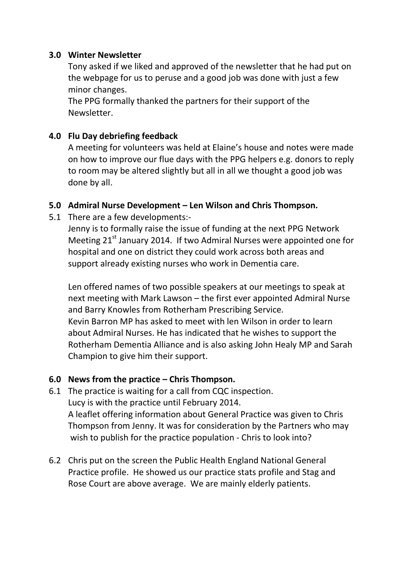## **3.0 Winter Newsletter**

Tony asked if we liked and approved of the newsletter that he had put on the webpage for us to peruse and a good job was done with just a few minor changes.

The PPG formally thanked the partners for their support of the Newsletter.

## **4.0 Flu Day debriefing feedback**

A meeting for volunteers was held at Elaine's house and notes were made on how to improve our flue days with the PPG helpers e.g. donors to reply to room may be altered slightly but all in all we thought a good job was done by all.

## **5.0 Admiral Nurse Development – Len Wilson and Chris Thompson.**

5.1 There are a few developments:-

Jenny is to formally raise the issue of funding at the next PPG Network Meeting 21<sup>st</sup> January 2014. If two Admiral Nurses were appointed one for hospital and one on district they could work across both areas and support already existing nurses who work in Dementia care.

Len offered names of two possible speakers at our meetings to speak at next meeting with Mark Lawson – the first ever appointed Admiral Nurse and Barry Knowles from Rotherham Prescribing Service. Kevin Barron MP has asked to meet with len Wilson in order to learn about Admiral Nurses. He has indicated that he wishes to support the Rotherham Dementia Alliance and is also asking John Healy MP and Sarah Champion to give him their support.

## **6.0 News from the practice – Chris Thompson.**

- 6.1 The practice is waiting for a call from CQC inspection. Lucy is with the practice until February 2014. A leaflet offering information about General Practice was given to Chris Thompson from Jenny. It was for consideration by the Partners who may wish to publish for the practice population - Chris to look into?
- 6.2 Chris put on the screen the Public Health England National General Practice profile. He showed us our practice stats profile and Stag and Rose Court are above average. We are mainly elderly patients.